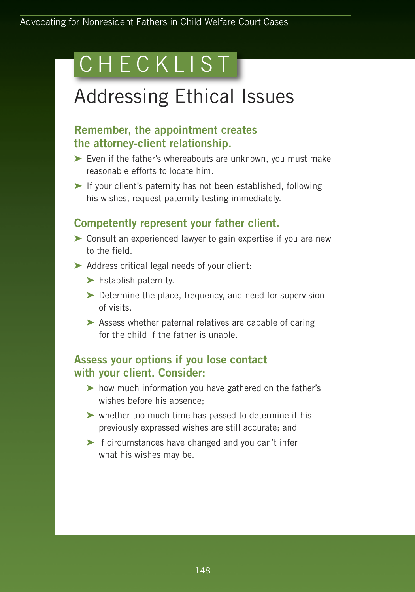# CHECKLIST

# Addressing Ethical Issues

### **Remember, the appointment creates the attorney-client relationship.**

- **➤** Even if the father's whereabouts are unknown, you must make reasonable efforts to locate him.
- **➤** If your client's paternity has not been established, following his wishes, request paternity testing immediately.

## **Competently represent your father client.**

- **➤** Consult an experienced lawyer to gain expertise if you are new to the field.
- **➤** Address critical legal needs of your client:
	- **➤** Establish paternity.
	- **➤** Determine the place, frequency, and need for supervision of visits.
	- **➤** Assess whether paternal relatives are capable of caring for the child if the father is unable.

#### **Assess your options if you lose contact with your client. Consider:**

- **➤** how much information you have gathered on the father's wishes before his absence;
- **➤** whether too much time has passed to determine if his previously expressed wishes are still accurate; and
- **➤** if circumstances have changed and you can't infer what his wishes may be.